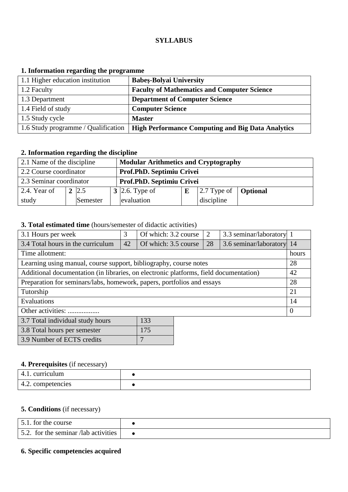#### **SYLLABUS**

# **1. Information regarding the programme**

| 1.1 Higher education institution    | <b>Babes-Bolyai University</b>                           |
|-------------------------------------|----------------------------------------------------------|
| 1.2 Faculty                         | <b>Faculty of Mathematics and Computer Science</b>       |
| 1.3 Department                      | <b>Department of Computer Science</b>                    |
| 1.4 Field of study                  | <b>Computer Science</b>                                  |
| 1.5 Study cycle                     | <b>Master</b>                                            |
| 1.6 Study programme / Qualification | <b>High Performance Computing and Big Data Analytics</b> |

# **2. Information regarding the discipline**

| 2.1 Name of the discipline |              | <b>Modular Arithmetics and Cryptography</b> |  |                                    |  |  |
|----------------------------|--------------|---------------------------------------------|--|------------------------------------|--|--|
| 2.2 Course coordinator     |              | Prof.PhD. Septimiu Crivei                   |  |                                    |  |  |
| 2.3 Seminar coordinator    |              | Prof.PhD. Septimiu Crivei                   |  |                                    |  |  |
| 2.4. Year of               | $2 \,   2.5$ | 3 2.6. Type of                              |  | $ 2.7$ Type of $ $ <b>Optional</b> |  |  |
| study                      | Semester     | evaluation                                  |  | discipline                         |  |  |

# **3. Total estimated time** (hours/semester of didactic activities)

| 3.1 Hours per week                                                                    | 3                                | Of which: 3.2 course |                           | $\overline{2}$ | 3.3 seminar/laboratory 1 |    |
|---------------------------------------------------------------------------------------|----------------------------------|----------------------|---------------------------|----------------|--------------------------|----|
| 3.4 Total hours in the curriculum                                                     | 42<br>Of which: 3.5 course<br>28 |                      | 3.6 seminar/laboratory 14 |                |                          |    |
| Time allotment:                                                                       |                                  |                      |                           |                |                          |    |
| Learning using manual, course support, bibliography, course notes                     |                                  |                      |                           |                |                          | 28 |
| Additional documentation (in libraries, on electronic platforms, field documentation) |                                  |                      |                           |                |                          | 42 |
| Preparation for seminars/labs, homework, papers, portfolios and essays                |                                  |                      |                           |                |                          | 28 |
| Tutorship                                                                             |                                  |                      |                           |                |                          | 21 |
| Evaluations                                                                           |                                  |                      |                           |                |                          | 14 |
| Other activities:                                                                     |                                  |                      |                           |                | $\Omega$                 |    |
| 3.7 Total individual study hours<br>133                                               |                                  |                      |                           |                |                          |    |

| 3.8 Total hours per semester | 175 |
|------------------------------|-----|
| 3.9 Number of ECTS credits   |     |

# **4. Prerequisites** (if necessary)

| 4.1. curriculum   |  |
|-------------------|--|
| 4.2. competencies |  |

# **5. Conditions** (if necessary)

| 5.1. for the course                  |  |
|--------------------------------------|--|
| 5.2. for the seminar /lab activities |  |

## **6. Specific competencies acquired**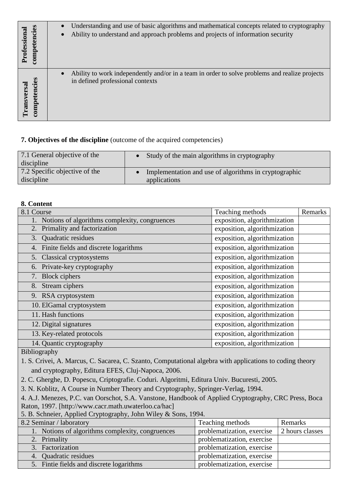| competencies<br>rofessiona | Understanding and use of basic algorithms and mathematical concepts related to cryptography<br>Ability to understand and approach problems and projects of information security<br>$\bullet$ |
|----------------------------|----------------------------------------------------------------------------------------------------------------------------------------------------------------------------------------------|
| competencies               | Ability to work independently and/or in a team in order to solve problems and realize projects                                                                                               |
| ransversa                  | in defined professional contexts                                                                                                                                                             |

## **7. Objectives of the discipline** (outcome of the acquired competencies)

| 7.1 General objective of the<br>discipline | Study of the main algorithms in cryptography          |
|--------------------------------------------|-------------------------------------------------------|
| 7.2 Specific objective of the              | Implementation and use of algorithms in cryptographic |
| discipline                                 | applications                                          |

## **8. Content**

| 8.1 Course                                       | Teaching methods             | Remarks |
|--------------------------------------------------|------------------------------|---------|
| 1. Notions of algorithms complexity, congruences | exposition, algorithmization |         |
| 2. Primality and factorization                   | exposition, algorithmization |         |
| 3. Quadratic residues                            | exposition, algorithmization |         |
| 4. Finite fields and discrete logarithms         | exposition, algorithmization |         |
| 5. Classical cryptosystems                       | exposition, algorithmization |         |
| 6. Private-key cryptography                      | exposition, algorithmization |         |
| 7. Block ciphers                                 | exposition, algorithmization |         |
| Stream ciphers<br>8.                             | exposition, algorithmization |         |
| 9. RSA cryptosystem                              | exposition, algorithmization |         |
| 10. ElGamal cryptosystem                         | exposition, algorithmization |         |
| 11. Hash functions                               | exposition, algorithmization |         |
| 12. Digital signatures                           | exposition, algorithmization |         |
| 13. Key-related protocols                        | exposition, algorithmization |         |
| 14. Quantic cryptography                         | exposition, algorithmization |         |

Bibliography

1. S. Crivei, A. Marcus, C. Sacarea, C. Szanto, Computational algebra with applications to coding theory and cryptography, Editura EFES, Cluj-Napoca, 2006.

2. C. Gherghe, D. Popescu, Criptografie. Coduri. Algoritmi, Editura Univ. Bucuresti, 2005.

3. N. Koblitz, A Course in Number Theory and Cryptography, Springer-Verlag, 1994.

4. A.J. Menezes, P.C. van Oorschot, S.A. Vanstone, Handbook of Applied Cryptography, CRC Press, Boca Raton, 1997. [http://www.cacr.math.uwaterloo.ca/hac]

5. B. Schneier, Applied Cryptography, John Wiley & Sons, 1994.

| יי לי ביוני של המוניקה בין המוניקה במוניקה של המוניקה והיו המוניקה בין המוניקה בין המוניקה בין המוניקה בין המו |                            |                 |
|----------------------------------------------------------------------------------------------------------------|----------------------------|-----------------|
| 8.2 Seminar / laboratory                                                                                       | Teaching methods           | Remarks         |
| 1. Notions of algorithms complexity, congruences                                                               | problematization, exercise | 2 hours classes |
| 2. Primality                                                                                                   | problematization, exercise |                 |
| 3. Factorization                                                                                               | problematization, exercise |                 |
| 4. Quadratic residues                                                                                          | problematization, exercise |                 |
| 5. Fintie fields and discrete logarithms                                                                       | problematization, exercise |                 |